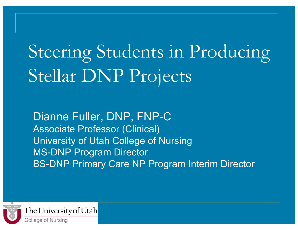# Steering Students in Producing Stellar DNP Projects

Dianne Fuller, DNP, FNP-C Associate Professor (Clinical) University of Utah College of Nursing MS-DNP Program Director BS-DNP Primary Care NP Program Interim Director

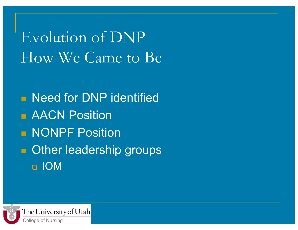Evolution of DNP How We Came to Be

**Need for DNP identified B** AACN Position **NONPF Position Deta** Other leadership groups IOM

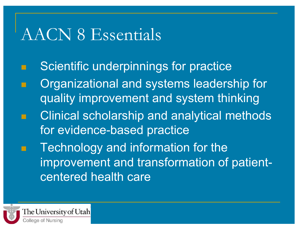### AACN 8 Essentials

- Scientific underpinnings for practice
- Organizational and systems leadership for quality improvement and system thinking
- Clinical scholarship and analytical methods for evidence-based practice
	- Technology and information for the improvement and transformation of patientcentered health care

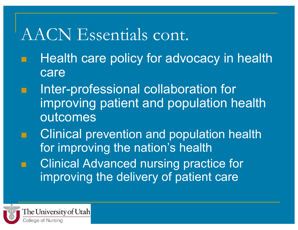### AACN Essentials cont.

- Health care policy for advocacy in health care
- Inter-professional collaboration for improving patient and population health outcomes
- Clinical prevention and population health for improving the nation's health Clinical Advanced nursing practice for improving the delivery of patient care

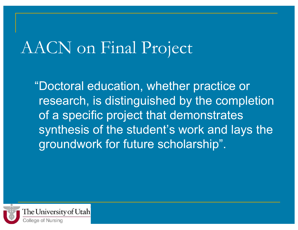### AACN on Final Project

 "Doctoral education, whether practice or research, is distinguished by the completion of a specific project that demonstrates synthesis of the student's work and lays the groundwork for future scholarship".

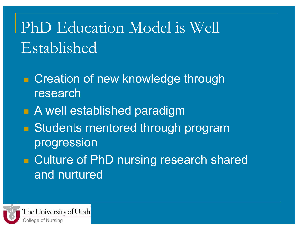## PhD Education Model is Well Established

- Creation of new knowledge through research
- **A** well established paradigm
- **Budents mentored through program** progression
- Culture of PhD nursing research shared and nurtured

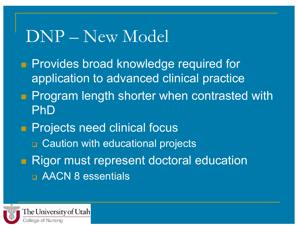### DNP – New Model

- **Provides broad knowledge required for** application to advanced clinical practice
- **Program length shorter when contrasted with** PhD
- **Projects need clinical focus** 
	- **n** Caution with educational projects
- **Rigor must represent doctoral education** AACN 8 essentials

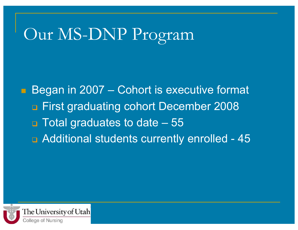### Our MS-DNP Program

Began in 2007 – Cohort is executive format First graduating cohort December 2008 Total graduates to date – 55 **B** Additional students currently enrolled - 45

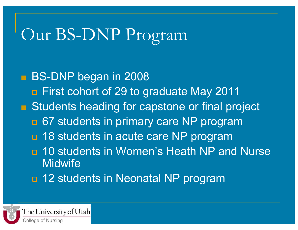## Our BS-DNP Program

**BS-DNP began in 2008 n** First cohort of 29 to graduate May 2011 **E.** Students heading for capstone or final project **a.** 67 students in primary care NP program **18 students in acute care NP program n** 10 students in Women's Heath NP and Nurse **Midwife** 12 students in Neonatal NP program

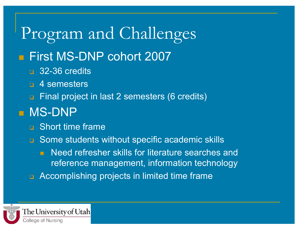#### Program and Challenges **First MS-DNP cohort 2007** 32-36 credits **n** 4 semesters Final project in last 2 semesters (6 credits) **MS-DNP D** Short time frame □ Some students without specific academic skills **Need refresher skills for literature searches and** reference management, information technology Accomplishing projects in limited time frame

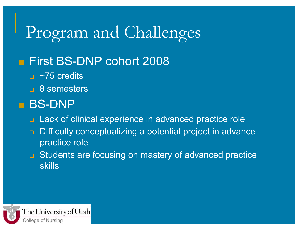## Program and Challenges

#### **First BS-DNP cohort 2008**

- $\sim$ 75 credits
- **a** 8 semesters

#### **BS-DNP**

- Lack of clinical experience in advanced practice role
- **Difficulty conceptualizing a potential project in advance** practice role
- □ Students are focusing on mastery of advanced practice skills

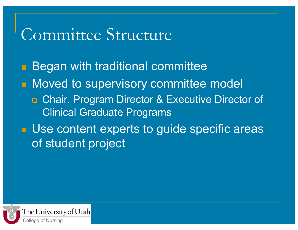### Committee Structure

**Began with traditional committee Noved to supervisory committee model n Chair, Program Director & Executive Director of** Clinical Graduate Programs **Use content experts to guide specific areas** of student project

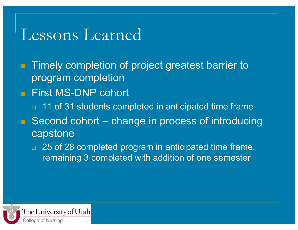### Lessons Learned

- **Timely completion of project greatest barrier to** program completion
- **First MS-DNP cohort** 
	- **11 of 31 students completed in anticipated time frame**
- $\blacksquare$  Second cohort change in process of introducing **capstone** 
	- **25 of 28 completed program in anticipated time frame,** remaining 3 completed with addition of one semester

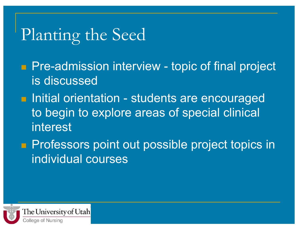## Planting the Seed

- **Pre-admission interview topic of final project** is discussed
- **Initial orientation students are encouraged** to begin to explore areas of special clinical interest
- **Professors point out possible project topics in** individual courses

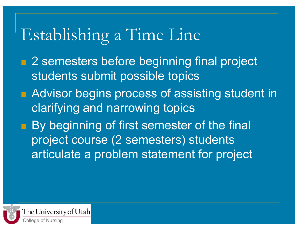## Establishing a Time Line

- **2 semesters before beginning final project** students submit possible topics
- **Advisor begins process of assisting student in** clarifying and narrowing topics
- **By beginning of first semester of the final** project course (2 semesters) students articulate a problem statement for project

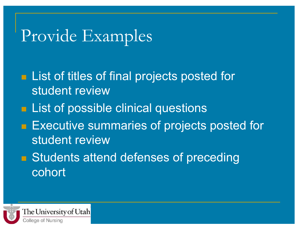### Provide Examples

- **List of titles of final projects posted for** student review
- **Example 1.5 List of possible clinical questions**
- **Executive summaries of projects posted for** student review
- **B** Students attend defenses of preceding cohort

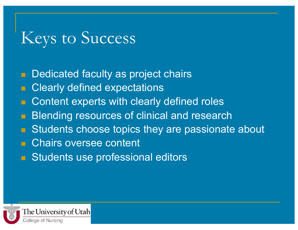### Keys to Success

**Dedicated faculty as project chairs** 

- **E** Clearly defined expectations
- Content experts with clearly defined roles
- **Blending resources of clinical and research**
- Students choose topics they are passionate about
- **E** Chairs oversee content
- **Budents use professional editors**

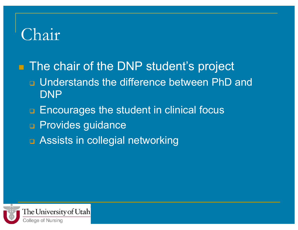### Chair

**The chair of the DNP student's project**  Understands the difference between PhD and DNP

- **Encourages the student in clinical focus**
- **Provides guidance**
- □ Assists in collegial networking

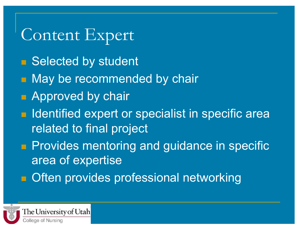## Content Expert

- Selected by student
- **Nay be recommended by chair**
- **Approved by chair**
- **If Identified expert or specialist in specific area** related to final project
- **Provides mentoring and guidance in specific** area of expertise
- **n** Often provides professional networking

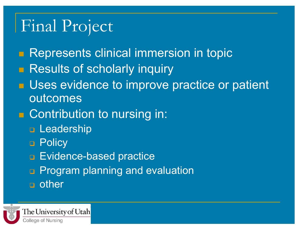### Final Project

- **Represents clinical immersion in topic**
- **Results of scholarly inquiry**
- **<u>■</u>** Uses evidence to improve practice or patient outcomes
- Contribution to nursing in:
	- **D** Leadership
	- **D** Policy
	- **Evidence-based practice**
	- **n** Program planning and evaluation
	- **a** other

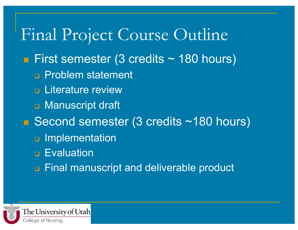### Final Project Course Outline First semester (3 credits  $\sim$  180 hours) **Problem statement <u>E</u>** Literature review **D** Manuscript draft ■ Second semester (3 credits ~180 hours) **D** Implementation **Evaluation** Final manuscript and deliverable product

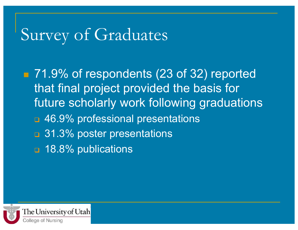### Survey of Graduates

■ 71.9% of respondents (23 of 32) reported that final project provided the basis for future scholarly work following graduations **146.9% professional presentations 31.3% poster presentations 18.8% publications**